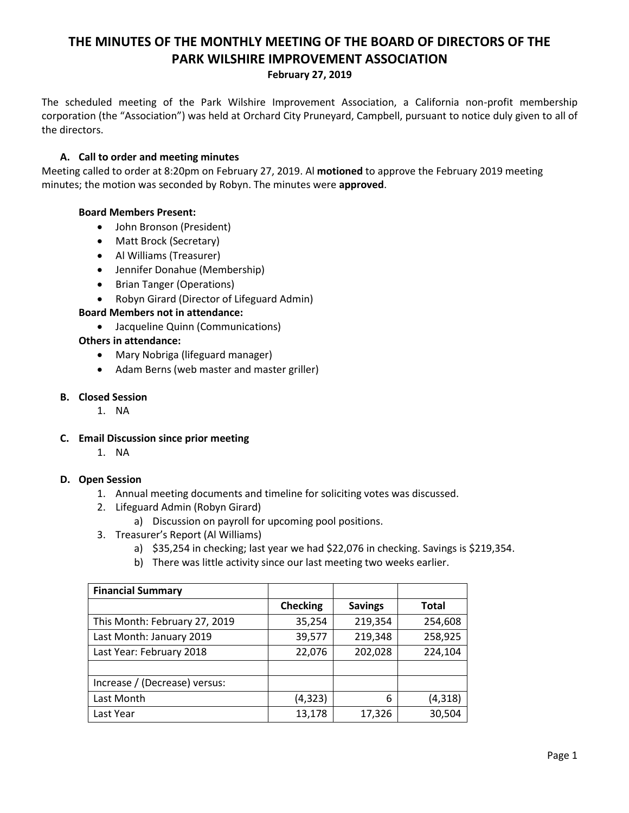# **THE MINUTES OF THE MONTHLY MEETING OF THE BOARD OF DIRECTORS OF THE PARK WILSHIRE IMPROVEMENT ASSOCIATION**

#### **February 27, 2019**

The scheduled meeting of the Park Wilshire Improvement Association, a California non-profit membership corporation (the "Association") was held at Orchard City Pruneyard, Campbell, pursuant to notice duly given to all of the directors.

## **A. Call to order and meeting minutes**

Meeting called to order at 8:20pm on February 27, 2019. Al **motioned** to approve the February 2019 meeting minutes; the motion was seconded by Robyn. The minutes were **approved**.

## **Board Members Present:**

- John Bronson (President)
- Matt Brock (Secretary)
- Al Williams (Treasurer)
- Jennifer Donahue (Membership)
- Brian Tanger (Operations)
- Robyn Girard (Director of Lifeguard Admin)

## **Board Members not in attendance:**

Jacqueline Quinn (Communications)

### **Others in attendance:**

- Mary Nobriga (lifeguard manager)
- Adam Berns (web master and master griller)

## **B. Closed Session**

1. NA

### **C. Email Discussion since prior meeting**

1. NA

### **D. Open Session**

- 1. Annual meeting documents and timeline for soliciting votes was discussed.
- 2. Lifeguard Admin (Robyn Girard)
	- a) Discussion on payroll for upcoming pool positions.
- 3. Treasurer's Report (Al Williams)
	- a) \$35,254 in checking; last year we had \$22,076 in checking. Savings is \$219,354.
	- b) There was little activity since our last meeting two weeks earlier.

| <b>Financial Summary</b>      |                 |                |          |
|-------------------------------|-----------------|----------------|----------|
|                               | <b>Checking</b> | <b>Savings</b> | Total    |
| This Month: February 27, 2019 | 35,254          | 219,354        | 254,608  |
| Last Month: January 2019      | 39,577          | 219,348        | 258,925  |
| Last Year: February 2018      | 22,076          | 202,028        | 224,104  |
|                               |                 |                |          |
| Increase / (Decrease) versus: |                 |                |          |
| Last Month                    | (4, 323)        | 6              | (4, 318) |
| Last Year                     | 13,178          | 17,326         | 30,504   |